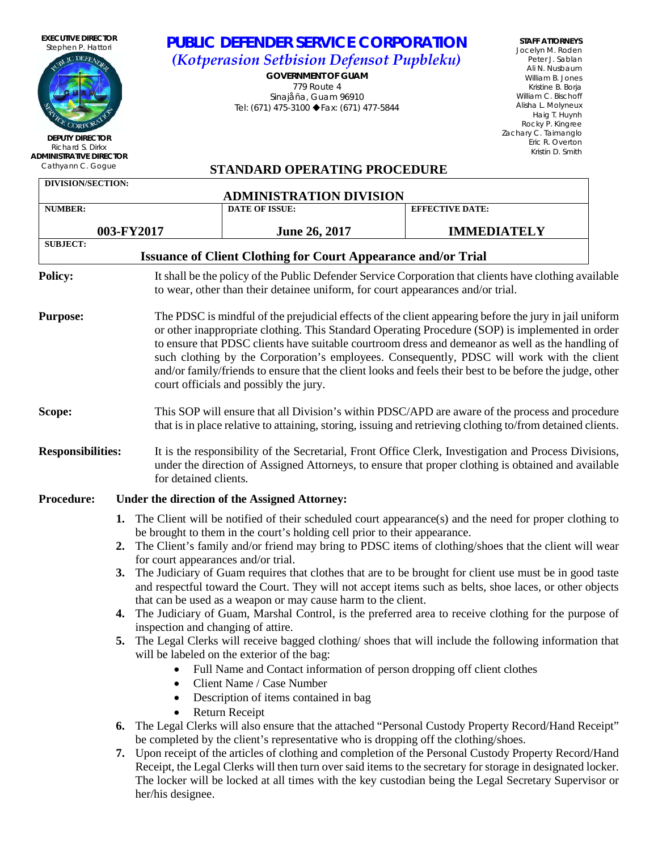**EXECUTIVE DIRECTOR** Stephen P. Hattori **IC DEFEN** 

**DEPUTY DIRECTOR** Richard S. Dirkx **ADMINISTRATIVE DIRECTOR**

## *PUBLIC DEFENDER SERVICE CORPORATION (Kotperasion Setbision Defensot Pupbleku)*

*GOVERNMENT OF GUAM* 779 Route 4 Sinajåña, Guam 96910 Tel: (671) 475-3100 ◆Fax: (671) 477-5844

**STAFF ATTORNEYS** Jocelyn M. Roden Peter J. Sablan Ali N. Nusbaum William B. Jones Kristine B. Borja William C. Bischoff Alisha L. Molyneux Haig T. Huynh Rocky P. Kingree Zachary C. Taimanglo Eric R. Overton Kristin D. Smith

## Cathyann C. Gogue **STANDARD OPERATING PROCEDURE**

| <b>DIVISION/SECTION:</b> |    |                                               | <b>ADMINISTRATION DIVISION</b>                                                                                         |  |                                                                                                                                                                                                                                                                                                                                                                                                                                                                                                                           |  |  |  |
|--------------------------|----|-----------------------------------------------|------------------------------------------------------------------------------------------------------------------------|--|---------------------------------------------------------------------------------------------------------------------------------------------------------------------------------------------------------------------------------------------------------------------------------------------------------------------------------------------------------------------------------------------------------------------------------------------------------------------------------------------------------------------------|--|--|--|
| <b>NUMBER:</b>           |    |                                               | <b>DATE OF ISSUE:</b>                                                                                                  |  | <b>EFFECTIVE DATE:</b>                                                                                                                                                                                                                                                                                                                                                                                                                                                                                                    |  |  |  |
|                          |    | 003-FY2017                                    | <b>June 26, 2017</b>                                                                                                   |  | <b>IMMEDIATELY</b>                                                                                                                                                                                                                                                                                                                                                                                                                                                                                                        |  |  |  |
| <b>SUBJECT:</b>          |    |                                               | <b>Issuance of Client Clothing for Court Appearance and/or Trial</b>                                                   |  |                                                                                                                                                                                                                                                                                                                                                                                                                                                                                                                           |  |  |  |
| <b>Policy:</b>           |    |                                               | to wear, other than their detainee uniform, for court appearances and/or trial.                                        |  | It shall be the policy of the Public Defender Service Corporation that clients have clothing available                                                                                                                                                                                                                                                                                                                                                                                                                    |  |  |  |
| <b>Purpose:</b>          |    |                                               | court officials and possibly the jury.                                                                                 |  | The PDSC is mindful of the prejudicial effects of the client appearing before the jury in jail uniform<br>or other inappropriate clothing. This Standard Operating Procedure (SOP) is implemented in order<br>to ensure that PDSC clients have suitable courtroom dress and demeanor as well as the handling of<br>such clothing by the Corporation's employees. Consequently, PDSC will work with the client<br>and/or family/friends to ensure that the client looks and feels their best to be before the judge, other |  |  |  |
| Scope:                   |    |                                               |                                                                                                                        |  | This SOP will ensure that all Division's within PDSC/APD are aware of the process and procedure<br>that is in place relative to attaining, storing, issuing and retrieving clothing to/from detained clients.                                                                                                                                                                                                                                                                                                             |  |  |  |
| <b>Responsibilities:</b> |    | for detained clients.                         |                                                                                                                        |  | It is the responsibility of the Secretarial, Front Office Clerk, Investigation and Process Divisions,<br>under the direction of Assigned Attorneys, to ensure that proper clothing is obtained and available                                                                                                                                                                                                                                                                                                              |  |  |  |
| <b>Procedure:</b>        |    | Under the direction of the Assigned Attorney: |                                                                                                                        |  |                                                                                                                                                                                                                                                                                                                                                                                                                                                                                                                           |  |  |  |
|                          |    |                                               |                                                                                                                        |  | 1. The Client will be notified of their scheduled court appearance(s) and the need for proper clothing to                                                                                                                                                                                                                                                                                                                                                                                                                 |  |  |  |
|                          | 2. | for court appearances and/or trial.           | be brought to them in the court's holding cell prior to their appearance.                                              |  | The Client's family and/or friend may bring to PDSC items of clothing/shoes that the client will wear                                                                                                                                                                                                                                                                                                                                                                                                                     |  |  |  |
|                          | 3. |                                               | that can be used as a weapon or may cause harm to the client.                                                          |  | The Judiciary of Guam requires that clothes that are to be brought for client use must be in good taste<br>and respectful toward the Court. They will not accept items such as belts, shoe laces, or other objects                                                                                                                                                                                                                                                                                                        |  |  |  |
|                          |    | inspection and changing of attire.            |                                                                                                                        |  | 4. The Judiciary of Guam, Marshal Control, is the preferred area to receive clothing for the purpose of                                                                                                                                                                                                                                                                                                                                                                                                                   |  |  |  |
|                          | 5. | $\bullet$                                     | will be labeled on the exterior of the bag:<br>Full Name and Contact information of person dropping off client clothes |  | The Legal Clerks will receive bagged clothing/ shoes that will include the following information that                                                                                                                                                                                                                                                                                                                                                                                                                     |  |  |  |
|                          |    | $\bullet$<br>$\bullet$                        | Client Name / Case Number<br>Description of items contained in bag<br>Return Receipt                                   |  |                                                                                                                                                                                                                                                                                                                                                                                                                                                                                                                           |  |  |  |
|                          | 6. |                                               | be completed by the client's representative who is dropping off the clothing/shoes.                                    |  | The Legal Clerks will also ensure that the attached "Personal Custody Property Record/Hand Receipt"                                                                                                                                                                                                                                                                                                                                                                                                                       |  |  |  |
|                          |    |                                               |                                                                                                                        |  | 7. Upon receipt of the articles of clothing and completion of the Personal Custody Property Record/Hand<br>Receipt, the Legal Clerks will then turn over said items to the secretary for storage in designated locker.<br>The locker will be locked at all times with the key custodian being the Legal Secretary Supervisor or                                                                                                                                                                                           |  |  |  |

her/his designee.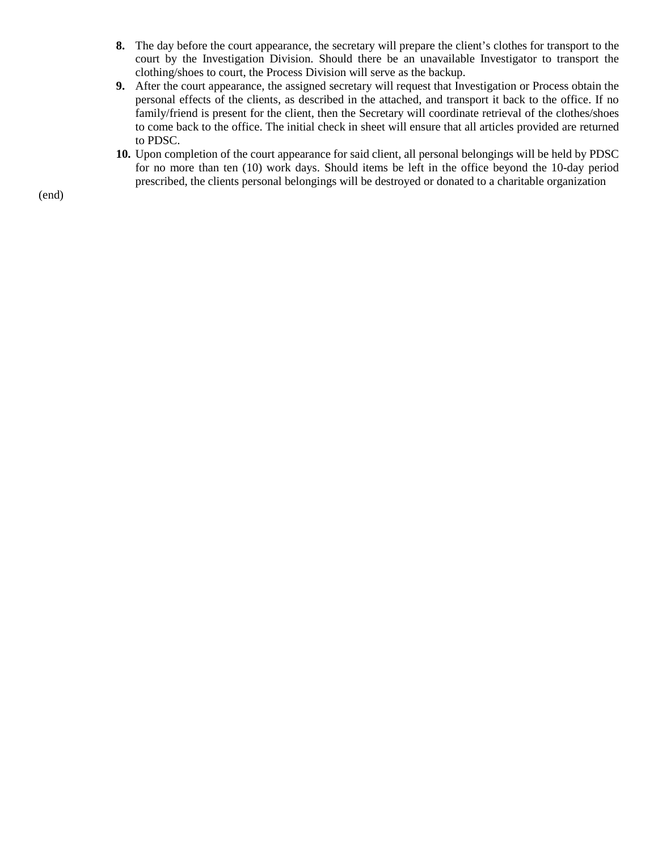- **8.** The day before the court appearance, the secretary will prepare the client's clothes for transport to the court by the Investigation Division. Should there be an unavailable Investigator to transport the clothing/shoes to court, the Process Division will serve as the backup.
- **9.** After the court appearance, the assigned secretary will request that Investigation or Process obtain the personal effects of the clients, as described in the attached, and transport it back to the office. If no family/friend is present for the client, then the Secretary will coordinate retrieval of the clothes/shoes to come back to the office. The initial check in sheet will ensure that all articles provided are returned to PDSC.
- **10.** Upon completion of the court appearance for said client, all personal belongings will be held by PDSC for no more than ten (10) work days. Should items be left in the office beyond the 10-day period prescribed, the clients personal belongings will be destroyed or donated to a charitable organization

(end)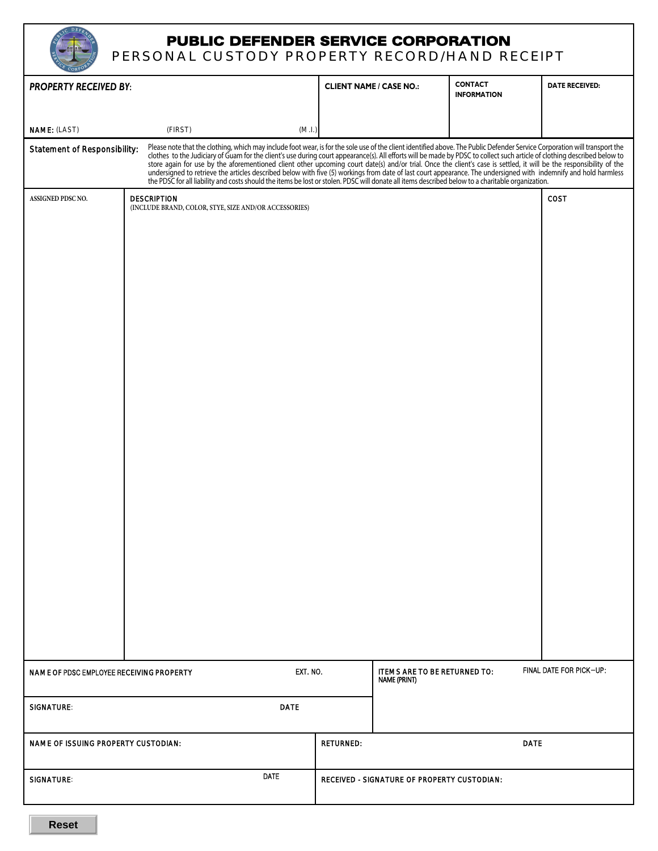| <b>PUBLIC DEFENDER SERVICE CORPORATION</b>     |
|------------------------------------------------|
| 'BAANAL AUATARV BRABERTV BEAARR (ILANIB BEAFI) |

|                                          | PERSONAL CUSTODY PROPERTY RECORD/HAND RECEIPT                                                                                                                                                                                  |             |                                             |                                                     |                                      |                         |
|------------------------------------------|--------------------------------------------------------------------------------------------------------------------------------------------------------------------------------------------------------------------------------|-------------|---------------------------------------------|-----------------------------------------------------|--------------------------------------|-------------------------|
| <b>PROPERTY RECEIVED BY:</b>             |                                                                                                                                                                                                                                |             |                                             | <b>CLIENT NAME / CASE NO.:</b>                      | <b>CONTACT</b><br><b>INFORMATION</b> | <b>DATE RECEIVED:</b>   |
| NAME: (LAST)                             | (FIRST)                                                                                                                                                                                                                        | (M.I.)      |                                             |                                                     |                                      |                         |
| Statement of Responsibility:             | Please note that the clothing, which may include foot wear, is for the sole use of the client identified above. The Public Defender Service Corporation will transport the clothes to the Judiciary of Guam for the client's u |             |                                             |                                                     |                                      |                         |
| ASSIGNED PDSC NO.                        | <b>DESCRIPTION</b><br>(INCLUDE BRAND, COLOR, STYE, SIZE AND/OR ACCESSORIES)                                                                                                                                                    |             |                                             |                                                     |                                      | COST                    |
|                                          |                                                                                                                                                                                                                                |             |                                             |                                                     |                                      |                         |
|                                          |                                                                                                                                                                                                                                |             |                                             |                                                     |                                      |                         |
|                                          |                                                                                                                                                                                                                                |             |                                             |                                                     |                                      |                         |
|                                          |                                                                                                                                                                                                                                |             |                                             |                                                     |                                      |                         |
|                                          |                                                                                                                                                                                                                                |             |                                             |                                                     |                                      |                         |
|                                          |                                                                                                                                                                                                                                |             |                                             |                                                     |                                      |                         |
|                                          |                                                                                                                                                                                                                                |             |                                             |                                                     |                                      |                         |
|                                          |                                                                                                                                                                                                                                |             |                                             |                                                     |                                      |                         |
|                                          |                                                                                                                                                                                                                                |             |                                             |                                                     |                                      |                         |
|                                          |                                                                                                                                                                                                                                |             |                                             |                                                     |                                      |                         |
|                                          |                                                                                                                                                                                                                                |             |                                             |                                                     |                                      |                         |
|                                          |                                                                                                                                                                                                                                |             |                                             |                                                     |                                      |                         |
|                                          |                                                                                                                                                                                                                                |             |                                             |                                                     |                                      |                         |
|                                          |                                                                                                                                                                                                                                |             |                                             |                                                     |                                      |                         |
|                                          |                                                                                                                                                                                                                                |             |                                             |                                                     |                                      |                         |
|                                          |                                                                                                                                                                                                                                |             |                                             |                                                     |                                      |                         |
|                                          |                                                                                                                                                                                                                                |             |                                             |                                                     |                                      |                         |
|                                          |                                                                                                                                                                                                                                |             |                                             |                                                     |                                      |                         |
|                                          |                                                                                                                                                                                                                                |             |                                             |                                                     |                                      |                         |
| NAME OF PDSC EMPLOYEE RECEIVING PROPERTY |                                                                                                                                                                                                                                | EXT. NO.    |                                             | ITEMS ARE TO BE RETURNED TO:<br><b>NAME (PRINT)</b> |                                      | FINAL DATE FOR PICK-UP: |
| <b>SIGNATURE:</b>                        |                                                                                                                                                                                                                                | <b>DATE</b> |                                             |                                                     |                                      |                         |
|                                          |                                                                                                                                                                                                                                |             |                                             |                                                     |                                      |                         |
| NAME OF ISSUING PROPERTY CUSTODIAN:      |                                                                                                                                                                                                                                |             | <b>RETURNED:</b>                            |                                                     | <b>DATE</b>                          |                         |
| <b>SIGNATURE:</b>                        |                                                                                                                                                                                                                                | <b>DATE</b> | RECEIVED - SIGNATURE OF PROPERTY CUSTODIAN: |                                                     |                                      |                         |
|                                          |                                                                                                                                                                                                                                |             |                                             |                                                     |                                      |                         |